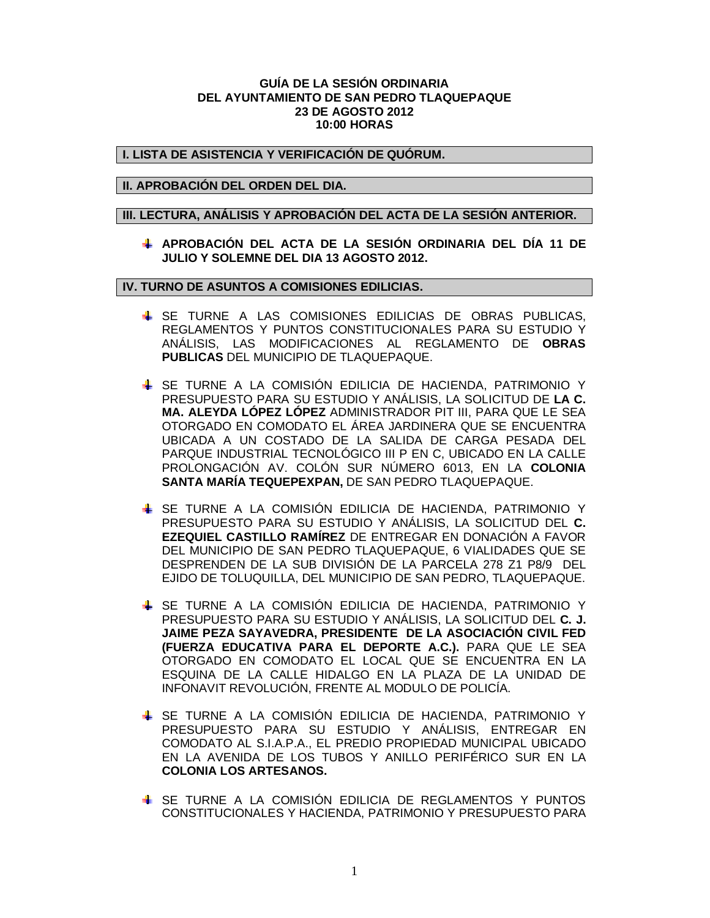## **GUÍA DE LA SESIÓN ORDINARIA DEL AYUNTAMIENTO DE SAN PEDRO TLAQUEPAQUE 23 DE AGOSTO 2012 10:00 HORAS**

## **I. LISTA DE ASISTENCIA Y VERIFICACIÓN DE QUÓRUM.**

## **II. APROBACIÓN DEL ORDEN DEL DIA.**

#### **III. LECTURA, ANÁLISIS Y APROBACIÓN DEL ACTA DE LA SESIÓN ANTERIOR.**

**APROBACIÓN DEL ACTA DE LA SESIÓN ORDINARIA DEL DÍA 11 DE JULIO Y SOLEMNE DEL DIA 13 AGOSTO 2012.** 

#### **IV. TURNO DE ASUNTOS A COMISIONES EDILICIAS.**

- SE TURNE A LAS COMISIONES EDILICIAS DE OBRAS PUBLICAS, REGLAMENTOS Y PUNTOS CONSTITUCIONALES PARA SU ESTUDIO Y ANÁLISIS, LAS MODIFICACIONES AL REGLAMENTO DE **OBRAS PUBLICAS** DEL MUNICIPIO DE TLAQUEPAQUE.
- SE TURNE A LA COMISIÓN EDILICIA DE HACIENDA, PATRIMONIO Y PRESUPUESTO PARA SU ESTUDIO Y ANÁLISIS, LA SOLICITUD DE **LA C. MA. ALEYDA LÓPEZ LÓPEZ** ADMINISTRADOR PIT III, PARA QUE LE SEA OTORGADO EN COMODATO EL ÁREA JARDINERA QUE SE ENCUENTRA UBICADA A UN COSTADO DE LA SALIDA DE CARGA PESADA DEL PARQUE INDUSTRIAL TECNOLÓGICO III P EN C, UBICADO EN LA CALLE PROLONGACIÓN AV. COLÓN SUR NÚMERO 6013, EN LA **COLONIA SANTA MARÍA TEQUEPEXPAN,** DE SAN PEDRO TLAQUEPAQUE.
- SE TURNE A LA COMISIÓN EDILICIA DE HACIENDA, PATRIMONIO Y PRESUPUESTO PARA SU ESTUDIO Y ANÁLISIS, LA SOLICITUD DEL **C. EZEQUIEL CASTILLO RAMÍREZ** DE ENTREGAR EN DONACIÓN A FAVOR DEL MUNICIPIO DE SAN PEDRO TLAQUEPAQUE, 6 VIALIDADES QUE SE DESPRENDEN DE LA SUB DIVISIÓN DE LA PARCELA 278 Z1 P8/9 DEL EJIDO DE TOLUQUILLA, DEL MUNICIPIO DE SAN PEDRO, TLAQUEPAQUE.
- SE TURNE A LA COMISIÓN EDILICIA DE HACIENDA, PATRIMONIO Y PRESUPUESTO PARA SU ESTUDIO Y ANÁLISIS, LA SOLICITUD DEL **C. J. JAIME PEZA SAYAVEDRA, PRESIDENTE DE LA ASOCIACIÓN CIVIL FED (FUERZA EDUCATIVA PARA EL DEPORTE A.C.).** PARA QUE LE SEA OTORGADO EN COMODATO EL LOCAL QUE SE ENCUENTRA EN LA ESQUINA DE LA CALLE HIDALGO EN LA PLAZA DE LA UNIDAD DE INFONAVIT REVOLUCIÓN, FRENTE AL MODULO DE POLICÍA.
- SE TURNE A LA COMISIÓN EDILICIA DE HACIENDA, PATRIMONIO Y PRESUPUESTO PARA SU ESTUDIO Y ANÁLISIS, ENTREGAR EN COMODATO AL S.I.A.P.A., EL PREDIO PROPIEDAD MUNICIPAL UBICADO EN LA AVENIDA DE LOS TUBOS Y ANILLO PERIFÉRICO SUR EN LA **COLONIA LOS ARTESANOS.**
- SE TURNE A LA COMISIÓN EDILICIA DE REGLAMENTOS Y PUNTOS CONSTITUCIONALES Y HACIENDA, PATRIMONIO Y PRESUPUESTO PARA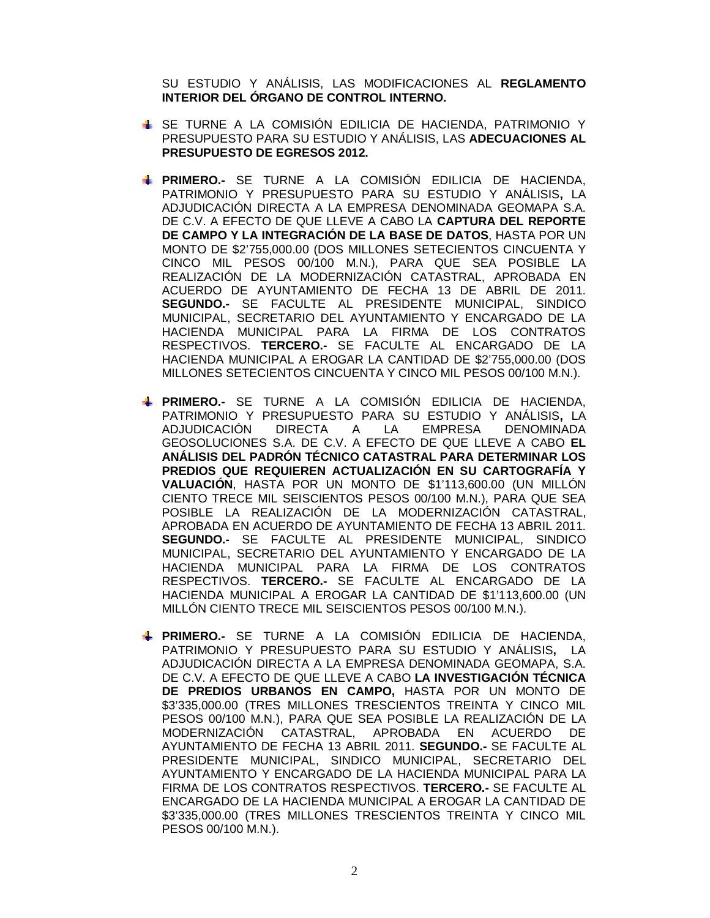SU ESTUDIO Y ANÁLISIS, LAS MODIFICACIONES AL **REGLAMENTO INTERIOR DEL ÓRGANO DE CONTROL INTERNO.**

- SE TURNE A LA COMISIÓN EDILICIA DE HACIENDA, PATRIMONIO Y PRESUPUESTO PARA SU ESTUDIO Y ANÁLISIS, LAS **ADECUACIONES AL PRESUPUESTO DE EGRESOS 2012.**
- **PRIMERO.-** SE TURNE A LA COMISIÓN EDILICIA DE HACIENDA, PATRIMONIO Y PRESUPUESTO PARA SU ESTUDIO Y ANÁLISIS**,** LA ADJUDICACIÓN DIRECTA A LA EMPRESA DENOMINADA GEOMAPA S.A. DE C.V. A EFECTO DE QUE LLEVE A CABO LA **CAPTURA DEL REPORTE DE CAMPO Y LA INTEGRACIÓN DE LA BASE DE DATOS**, HASTA POR UN MONTO DE \$2'755,000.00 (DOS MILLONES SETECIENTOS CINCUENTA Y CINCO MIL PESOS 00/100 M.N.), PARA QUE SEA POSIBLE LA REALIZACIÓN DE LA MODERNIZACIÓN CATASTRAL, APROBADA EN ACUERDO DE AYUNTAMIENTO DE FECHA 13 DE ABRIL DE 2011. **SEGUNDO.-** SE FACULTE AL PRESIDENTE MUNICIPAL, SINDICO MUNICIPAL, SECRETARIO DEL AYUNTAMIENTO Y ENCARGADO DE LA HACIENDA MUNICIPAL PARA LA FIRMA DE LOS CONTRATOS RESPECTIVOS. **TERCERO.-** SE FACULTE AL ENCARGADO DE LA HACIENDA MUNICIPAL A EROGAR LA CANTIDAD DE \$2'755,000.00 (DOS MILLONES SETECIENTOS CINCUENTA Y CINCO MIL PESOS 00/100 M.N.).
- **PRIMERO.-** SE TURNE A LA COMISIÓN EDILICIA DE HACIENDA, PATRIMONIO Y PRESUPUESTO PARA SU ESTUDIO Y ANÁLISIS**,** LA ADJUDICACIÓN DIRECTA A LA EMPRESA DENOMINADA GEOSOLUCIONES S.A. DE C.V. A EFECTO DE QUE LLEVE A CABO **EL ANÁLISIS DEL PADRÓN TÉCNICO CATASTRAL PARA DETERMINAR LOS PREDIOS QUE REQUIEREN ACTUALIZACIÓN EN SU CARTOGRAFÍA Y VALUACIÓN**, HASTA POR UN MONTO DE \$1'113,600.00 (UN MILLÓN CIENTO TRECE MIL SEISCIENTOS PESOS 00/100 M.N.), PARA QUE SEA POSIBLE LA REALIZACIÓN DE LA MODERNIZACIÓN CATASTRAL, APROBADA EN ACUERDO DE AYUNTAMIENTO DE FECHA 13 ABRIL 2011. **SEGUNDO.-** SE FACULTE AL PRESIDENTE MUNICIPAL, SINDICO MUNICIPAL, SECRETARIO DEL AYUNTAMIENTO Y ENCARGADO DE LA HACIENDA MUNICIPAL PARA LA FIRMA DE LOS CONTRATOS RESPECTIVOS. **TERCERO.-** SE FACULTE AL ENCARGADO DE LA HACIENDA MUNICIPAL A EROGAR LA CANTIDAD DE \$1'113,600.00 (UN MILLÓN CIENTO TRECE MIL SEISCIENTOS PESOS 00/100 M.N.).
- **PRIMERO.-** SE TURNE A LA COMISIÓN EDILICIA DE HACIENDA, PATRIMONIO Y PRESUPUESTO PARA SU ESTUDIO Y ANÁLISIS**,** LA ADJUDICACIÓN DIRECTA A LA EMPRESA DENOMINADA GEOMAPA, S.A. DE C.V. A EFECTO DE QUE LLEVE A CABO **LA INVESTIGACIÓN TÉCNICA DE PREDIOS URBANOS EN CAMPO,** HASTA POR UN MONTO DE \$3'335,000.00 (TRES MILLONES TRESCIENTOS TREINTA Y CINCO MIL PESOS 00/100 M.N.), PARA QUE SEA POSIBLE LA REALIZACIÓN DE LA MODERNIZACIÓN CATASTRAL, APROBADA EN ACUERDO DE AYUNTAMIENTO DE FECHA 13 ABRIL 2011. **SEGUNDO.-** SE FACULTE AL PRESIDENTE MUNICIPAL, SINDICO MUNICIPAL, SECRETARIO DEL AYUNTAMIENTO Y ENCARGADO DE LA HACIENDA MUNICIPAL PARA LA FIRMA DE LOS CONTRATOS RESPECTIVOS. **TERCERO.-** SE FACULTE AL ENCARGADO DE LA HACIENDA MUNICIPAL A EROGAR LA CANTIDAD DE \$3'335,000.00 (TRES MILLONES TRESCIENTOS TREINTA Y CINCO MIL PESOS 00/100 M.N.).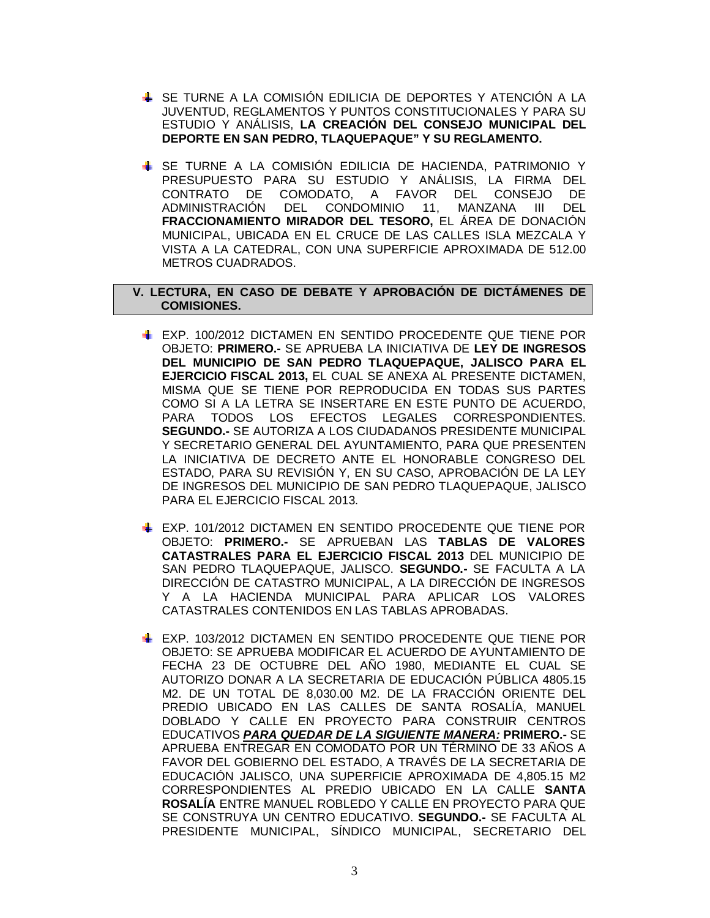- SE TURNE A LA COMISIÓN EDILICIA DE DEPORTES Y ATENCIÓN A LA JUVENTUD, REGLAMENTOS Y PUNTOS CONSTITUCIONALES Y PARA SU ESTUDIO Y ANÁLISIS, **LA CREACIÓN DEL CONSEJO MUNICIPAL DEL DEPORTE EN SAN PEDRO, TLAQUEPAQUE" Y SU REGLAMENTO.**
- SE TURNE A LA COMISIÓN EDILICIA DE HACIENDA, PATRIMONIO Y PRESUPUESTO PARA SU ESTUDIO Y ANÁLISIS, LA FIRMA DEL CONTRATO DE COMODATO, A FAVOR DEL CONSEJO DE ADMINISTRACIÓN DEL CONDOMINIO 11, MANZANA III DEL **FRACCIONAMIENTO MIRADOR DEL TESORO,** EL ÁREA DE DONACIÓN MUNICIPAL, UBICADA EN EL CRUCE DE LAS CALLES ISLA MEZCALA Y VISTA A LA CATEDRAL, CON UNA SUPERFICIE APROXIMADA DE 512.00 METROS CUADRADOS.

# **V. LECTURA, EN CASO DE DEBATE Y APROBACIÓN DE DICTÁMENES DE COMISIONES.**

- EXP. 100/2012 DICTAMEN EN SENTIDO PROCEDENTE QUE TIENE POR OBJETO: **PRIMERO.-** SE APRUEBA LA INICIATIVA DE **LEY DE INGRESOS DEL MUNICIPIO DE SAN PEDRO TLAQUEPAQUE, JALISCO PARA EL EJERCICIO FISCAL 2013,** EL CUAL SE ANEXA AL PRESENTE DICTAMEN, MISMA QUE SE TIENE POR REPRODUCIDA EN TODAS SUS PARTES COMO SI A LA LETRA SE INSERTARE EN ESTE PUNTO DE ACUERDO, PARA TODOS LOS EFECTOS LEGALES CORRESPONDIENTES. **SEGUNDO.-** SE AUTORIZA A LOS CIUDADANOS PRESIDENTE MUNICIPAL Y SECRETARIO GENERAL DEL AYUNTAMIENTO, PARA QUE PRESENTEN LA INICIATIVA DE DECRETO ANTE EL HONORABLE CONGRESO DEL ESTADO, PARA SU REVISIÓN Y, EN SU CASO, APROBACIÓN DE LA LEY DE INGRESOS DEL MUNICIPIO DE SAN PEDRO TLAQUEPAQUE, JALISCO PARA EL EJERCICIO FISCAL 2013.
- EXP. 101/2012 DICTAMEN EN SENTIDO PROCEDENTE QUE TIENE POR OBJETO: **PRIMERO.-** SE APRUEBAN LAS **TABLAS DE VALORES CATASTRALES PARA EL EJERCICIO FISCAL 2013** DEL MUNICIPIO DE SAN PEDRO TLAQUEPAQUE, JALISCO. **SEGUNDO.-** SE FACULTA A LA DIRECCIÓN DE CATASTRO MUNICIPAL, A LA DIRECCIÓN DE INGRESOS Y A LA HACIENDA MUNICIPAL PARA APLICAR LOS VALORES CATASTRALES CONTENIDOS EN LAS TABLAS APROBADAS.
- EXP. 103/2012 DICTAMEN EN SENTIDO PROCEDENTE QUE TIENE POR OBJETO: SE APRUEBA MODIFICAR EL ACUERDO DE AYUNTAMIENTO DE FECHA 23 DE OCTUBRE DEL AÑO 1980, MEDIANTE EL CUAL SE AUTORIZO DONAR A LA SECRETARIA DE EDUCACIÓN PÚBLICA 4805.15 M2. DE UN TOTAL DE 8,030.00 M2. DE LA FRACCIÓN ORIENTE DEL PREDIO UBICADO EN LAS CALLES DE SANTA ROSALÍA, MANUEL DOBLADO Y CALLE EN PROYECTO PARA CONSTRUIR CENTROS EDUCATIVOS *PARA QUEDAR DE LA SIGUIENTE MANERA:* **PRIMERO.-** SE APRUEBA ENTREGAR EN COMODATO POR UN TÉRMINO DE 33 AÑOS A FAVOR DEL GOBIERNO DEL ESTADO, A TRAVÉS DE LA SECRETARIA DE EDUCACIÓN JALISCO, UNA SUPERFICIE APROXIMADA DE 4,805.15 M2 CORRESPONDIENTES AL PREDIO UBICADO EN LA CALLE **SANTA ROSALÍA** ENTRE MANUEL ROBLEDO Y CALLE EN PROYECTO PARA QUE SE CONSTRUYA UN CENTRO EDUCATIVO. **SEGUNDO.-** SE FACULTA AL PRESIDENTE MUNICIPAL, SÍNDICO MUNICIPAL, SECRETARIO DEL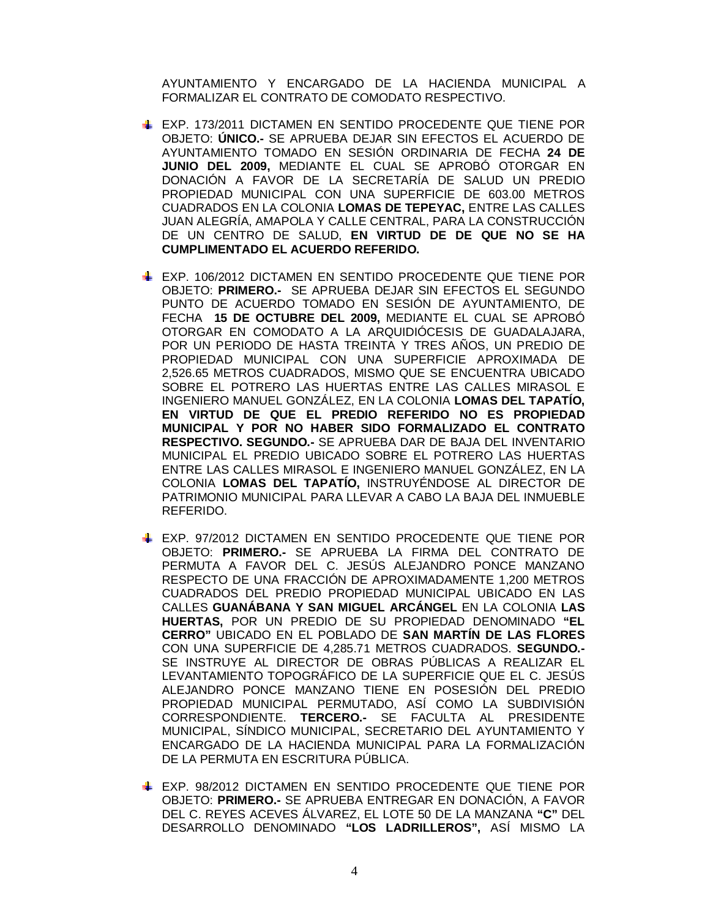AYUNTAMIENTO Y ENCARGADO DE LA HACIENDA MUNICIPAL A FORMALIZAR EL CONTRATO DE COMODATO RESPECTIVO.

- EXP. 173/2011 DICTAMEN EN SENTIDO PROCEDENTE QUE TIENE POR OBJETO: **ÚNICO.-** SE APRUEBA DEJAR SIN EFECTOS EL ACUERDO DE AYUNTAMIENTO TOMADO EN SESIÓN ORDINARIA DE FECHA **24 DE JUNIO DEL 2009,** MEDIANTE EL CUAL SE APROBÓ OTORGAR EN DONACIÓN A FAVOR DE LA SECRETARÍA DE SALUD UN PREDIO PROPIEDAD MUNICIPAL CON UNA SUPERFICIE DE 603.00 METROS CUADRADOS EN LA COLONIA **LOMAS DE TEPEYAC,** ENTRE LAS CALLES JUAN ALEGRÍA, AMAPOLA Y CALLE CENTRAL, PARA LA CONSTRUCCIÓN DE UN CENTRO DE SALUD, **EN VIRTUD DE DE QUE NO SE HA CUMPLIMENTADO EL ACUERDO REFERIDO.**
- EXP. 106/2012 DICTAMEN EN SENTIDO PROCEDENTE QUE TIENE POR OBJETO: **PRIMERO.-** SE APRUEBA DEJAR SIN EFECTOS EL SEGUNDO PUNTO DE ACUERDO TOMADO EN SESIÓN DE AYUNTAMIENTO, DE FECHA **15 DE OCTUBRE DEL 2009,** MEDIANTE EL CUAL SE APROBÓ OTORGAR EN COMODATO A LA ARQUIDIÓCESIS DE GUADALAJARA, POR UN PERIODO DE HASTA TREINTA Y TRES AÑOS, UN PREDIO DE PROPIEDAD MUNICIPAL CON UNA SUPERFICIE APROXIMADA DE 2,526.65 METROS CUADRADOS, MISMO QUE SE ENCUENTRA UBICADO SOBRE EL POTRERO LAS HUERTAS ENTRE LAS CALLES MIRASOL E INGENIERO MANUEL GONZÁLEZ, EN LA COLONIA **LOMAS DEL TAPATÍO, EN VIRTUD DE QUE EL PREDIO REFERIDO NO ES PROPIEDAD MUNICIPAL Y POR NO HABER SIDO FORMALIZADO EL CONTRATO RESPECTIVO. SEGUNDO.-** SE APRUEBA DAR DE BAJA DEL INVENTARIO MUNICIPAL EL PREDIO UBICADO SOBRE EL POTRERO LAS HUERTAS ENTRE LAS CALLES MIRASOL E INGENIERO MANUEL GONZÁLEZ, EN LA COLONIA **LOMAS DEL TAPATÍO,** INSTRUYÉNDOSE AL DIRECTOR DE PATRIMONIO MUNICIPAL PARA LLEVAR A CABO LA BAJA DEL INMUEBLE REFERIDO.
- EXP. 97/2012 DICTAMEN EN SENTIDO PROCEDENTE QUE TIENE POR OBJETO: **PRIMERO.-** SE APRUEBA LA FIRMA DEL CONTRATO DE PERMUTA A FAVOR DEL C. JESÚS ALEJANDRO PONCE MANZANO RESPECTO DE UNA FRACCIÓN DE APROXIMADAMENTE 1,200 METROS CUADRADOS DEL PREDIO PROPIEDAD MUNICIPAL UBICADO EN LAS CALLES **GUANÁBANA Y SAN MIGUEL ARCÁNGEL** EN LA COLONIA **LAS HUERTAS,** POR UN PREDIO DE SU PROPIEDAD DENOMINADO **"EL CERRO"** UBICADO EN EL POBLADO DE **SAN MARTÍN DE LAS FLORES** CON UNA SUPERFICIE DE 4,285.71 METROS CUADRADOS. **SEGUNDO.-** SE INSTRUYE AL DIRECTOR DE OBRAS PÚBLICAS A REALIZAR EL LEVANTAMIENTO TOPOGRÁFICO DE LA SUPERFICIE QUE EL C. JESÚS ALEJANDRO PONCE MANZANO TIENE EN POSESIÓN DEL PREDIO PROPIEDAD MUNICIPAL PERMUTADO, ASÍ COMO LA SUBDIVISIÓN CORRESPONDIENTE. **TERCERO.-** SE FACULTA AL PRESIDENTE MUNICIPAL, SÍNDICO MUNICIPAL, SECRETARIO DEL AYUNTAMIENTO Y ENCARGADO DE LA HACIENDA MUNICIPAL PARA LA FORMALIZACIÓN DE LA PERMUTA EN ESCRITURA PÚBLICA.
- EXP. 98/2012 DICTAMEN EN SENTIDO PROCEDENTE QUE TIENE POR OBJETO: **PRIMERO.-** SE APRUEBA ENTREGAR EN DONACIÓN, A FAVOR DEL C. REYES ACEVES ÁLVAREZ, EL LOTE 50 DE LA MANZANA **"C"** DEL DESARROLLO DENOMINADO **"LOS LADRILLEROS",** ASÍ MISMO LA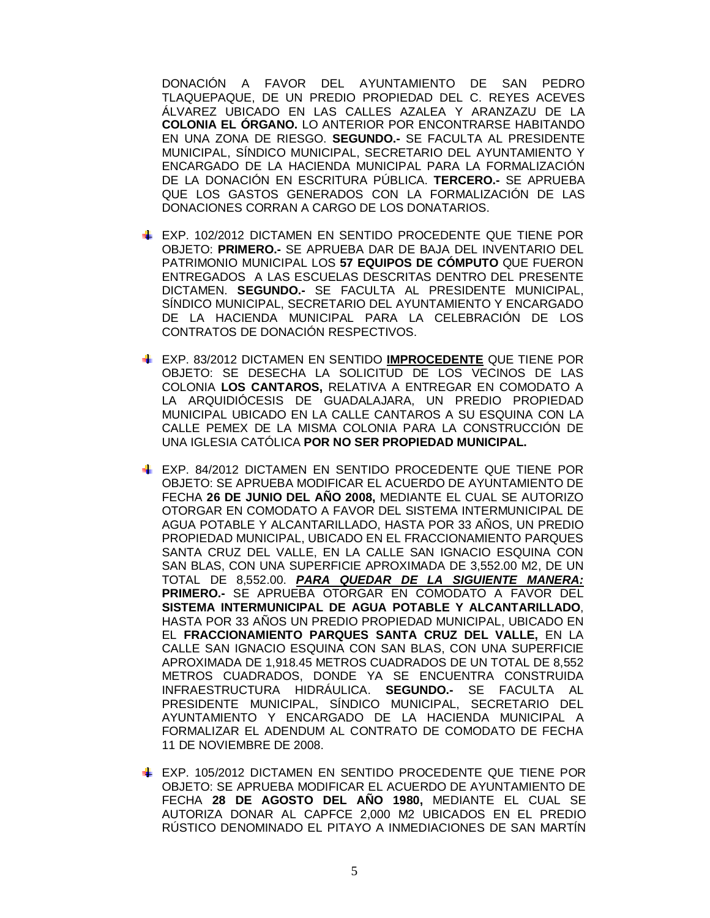DONACIÓN A FAVOR DEL AYUNTAMIENTO DE SAN PEDRO TLAQUEPAQUE, DE UN PREDIO PROPIEDAD DEL C. REYES ACEVES ÁLVAREZ UBICADO EN LAS CALLES AZALEA Y ARANZAZU DE LA **COLONIA EL ÓRGANO.** LO ANTERIOR POR ENCONTRARSE HABITANDO EN UNA ZONA DE RIESGO. **SEGUNDO.-** SE FACULTA AL PRESIDENTE MUNICIPAL, SÍNDICO MUNICIPAL, SECRETARIO DEL AYUNTAMIENTO Y ENCARGADO DE LA HACIENDA MUNICIPAL PARA LA FORMALIZACIÓN DE LA DONACIÓN EN ESCRITURA PÚBLICA. **TERCERO.-** SE APRUEBA QUE LOS GASTOS GENERADOS CON LA FORMALIZACIÓN DE LAS DONACIONES CORRAN A CARGO DE LOS DONATARIOS.

- EXP. 102/2012 DICTAMEN EN SENTIDO PROCEDENTE QUE TIENE POR OBJETO: **PRIMERO.-** SE APRUEBA DAR DE BAJA DEL INVENTARIO DEL PATRIMONIO MUNICIPAL LOS **57 EQUIPOS DE CÓMPUTO** QUE FUERON ENTREGADOS A LAS ESCUELAS DESCRITAS DENTRO DEL PRESENTE DICTAMEN. **SEGUNDO.-** SE FACULTA AL PRESIDENTE MUNICIPAL, SÍNDICO MUNICIPAL, SECRETARIO DEL AYUNTAMIENTO Y ENCARGADO DE LA HACIENDA MUNICIPAL PARA LA CELEBRACIÓN DE LOS CONTRATOS DE DONACIÓN RESPECTIVOS.
- EXP. 83/2012 DICTAMEN EN SENTIDO **IMPROCEDENTE** QUE TIENE POR OBJETO: SE DESECHA LA SOLICITUD DE LOS VECINOS DE LAS COLONIA **LOS CANTAROS,** RELATIVA A ENTREGAR EN COMODATO A LA ARQUIDIÓCESIS DE GUADALAJARA, UN PREDIO PROPIEDAD MUNICIPAL UBICADO EN LA CALLE CANTAROS A SU ESQUINA CON LA CALLE PEMEX DE LA MISMA COLONIA PARA LA CONSTRUCCIÓN DE UNA IGLESIA CATÓLICA **POR NO SER PROPIEDAD MUNICIPAL.**
- EXP. 84/2012 DICTAMEN EN SENTIDO PROCEDENTE QUE TIENE POR OBJETO: SE APRUEBA MODIFICAR EL ACUERDO DE AYUNTAMIENTO DE FECHA **26 DE JUNIO DEL AÑO 2008,** MEDIANTE EL CUAL SE AUTORIZO OTORGAR EN COMODATO A FAVOR DEL SISTEMA INTERMUNICIPAL DE AGUA POTABLE Y ALCANTARILLADO, HASTA POR 33 AÑOS, UN PREDIO PROPIEDAD MUNICIPAL, UBICADO EN EL FRACCIONAMIENTO PARQUES SANTA CRUZ DEL VALLE, EN LA CALLE SAN IGNACIO ESQUINA CON SAN BLAS, CON UNA SUPERFICIE APROXIMADA DE 3,552.00 M2, DE UN TOTAL DE 8,552.00. *PARA QUEDAR DE LA SIGUIENTE MANERA:* **PRIMERO.-** SE APRUEBA OTORGAR EN COMODATO A FAVOR DEL **SISTEMA INTERMUNICIPAL DE AGUA POTABLE Y ALCANTARILLADO**, HASTA POR 33 AÑOS UN PREDIO PROPIEDAD MUNICIPAL, UBICADO EN EL **FRACCIONAMIENTO PARQUES SANTA CRUZ DEL VALLE,** EN LA CALLE SAN IGNACIO ESQUINA CON SAN BLAS, CON UNA SUPERFICIE APROXIMADA DE 1,918.45 METROS CUADRADOS DE UN TOTAL DE 8,552 METROS CUADRADOS, DONDE YA SE ENCUENTRA CONSTRUIDA INFRAESTRUCTURA HIDRÁULICA. **SEGUNDO.-** SE FACULTA AL PRESIDENTE MUNICIPAL, SÍNDICO MUNICIPAL, SECRETARIO DEL AYUNTAMIENTO Y ENCARGADO DE LA HACIENDA MUNICIPAL A FORMALIZAR EL ADENDUM AL CONTRATO DE COMODATO DE FECHA 11 DE NOVIEMBRE DE 2008.
- EXP. 105/2012 DICTAMEN EN SENTIDO PROCEDENTE QUE TIENE POR OBJETO: SE APRUEBA MODIFICAR EL ACUERDO DE AYUNTAMIENTO DE FECHA **28 DE AGOSTO DEL AÑO 1980,** MEDIANTE EL CUAL SE AUTORIZA DONAR AL CAPFCE 2,000 M2 UBICADOS EN EL PREDIO RÚSTICO DENOMINADO EL PITAYO A INMEDIACIONES DE SAN MARTÍN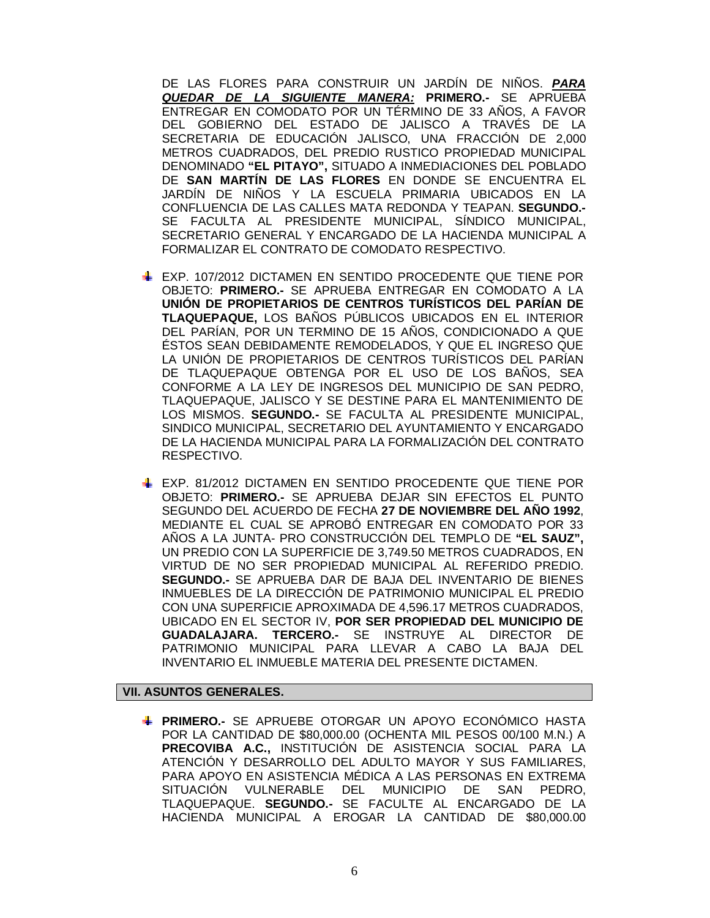DE LAS FLORES PARA CONSTRUIR UN JARDÍN DE NIÑOS. *PARA QUEDAR DE LA SIGUIENTE MANERA:* **PRIMERO.-** SE APRUEBA ENTREGAR EN COMODATO POR UN TÉRMINO DE 33 AÑOS, A FAVOR DEL GOBIERNO DEL ESTADO DE JALISCO A TRAVÉS DE LA SECRETARIA DE EDUCACIÓN JALISCO, UNA FRACCIÓN DE 2,000 METROS CUADRADOS, DEL PREDIO RUSTICO PROPIEDAD MUNICIPAL DENOMINADO **"EL PITAYO",** SITUADO A INMEDIACIONES DEL POBLADO DE **SAN MARTÍN DE LAS FLORES** EN DONDE SE ENCUENTRA EL JARDÍN DE NIÑOS Y LA ESCUELA PRIMARIA UBICADOS EN LA CONFLUENCIA DE LAS CALLES MATA REDONDA Y TEAPAN. **SEGUNDO.-** SE FACULTA AL PRESIDENTE MUNICIPAL, SÍNDICO MUNICIPAL, SECRETARIO GENERAL Y ENCARGADO DE LA HACIENDA MUNICIPAL A FORMALIZAR EL CONTRATO DE COMODATO RESPECTIVO.

- EXP. 107/2012 DICTAMEN EN SENTIDO PROCEDENTE QUE TIENE POR OBJETO: **PRIMERO.-** SE APRUEBA ENTREGAR EN COMODATO A LA **UNIÓN DE PROPIETARIOS DE CENTROS TURÍSTICOS DEL PARÍAN DE TLAQUEPAQUE,** LOS BAÑOS PÚBLICOS UBICADOS EN EL INTERIOR DEL PARÍAN, POR UN TERMINO DE 15 AÑOS, CONDICIONADO A QUE ÉSTOS SEAN DEBIDAMENTE REMODELADOS, Y QUE EL INGRESO QUE LA UNIÓN DE PROPIETARIOS DE CENTROS TURÍSTICOS DEL PARÍAN DE TLAQUEPAQUE OBTENGA POR EL USO DE LOS BAÑOS, SEA CONFORME A LA LEY DE INGRESOS DEL MUNICIPIO DE SAN PEDRO, TLAQUEPAQUE, JALISCO Y SE DESTINE PARA EL MANTENIMIENTO DE LOS MISMOS. **SEGUNDO.-** SE FACULTA AL PRESIDENTE MUNICIPAL, SINDICO MUNICIPAL, SECRETARIO DEL AYUNTAMIENTO Y ENCARGADO DE LA HACIENDA MUNICIPAL PARA LA FORMALIZACIÓN DEL CONTRATO RESPECTIVO.
- EXP. 81/2012 DICTAMEN EN SENTIDO PROCEDENTE QUE TIENE POR OBJETO: **PRIMERO.-** SE APRUEBA DEJAR SIN EFECTOS EL PUNTO SEGUNDO DEL ACUERDO DE FECHA **27 DE NOVIEMBRE DEL AÑO 1992**, MEDIANTE EL CUAL SE APROBÓ ENTREGAR EN COMODATO POR 33 AÑOS A LA JUNTA- PRO CONSTRUCCIÓN DEL TEMPLO DE **"EL SAUZ",** UN PREDIO CON LA SUPERFICIE DE 3,749.50 METROS CUADRADOS, EN VIRTUD DE NO SER PROPIEDAD MUNICIPAL AL REFERIDO PREDIO. **SEGUNDO.-** SE APRUEBA DAR DE BAJA DEL INVENTARIO DE BIENES INMUEBLES DE LA DIRECCIÓN DE PATRIMONIO MUNICIPAL EL PREDIO CON UNA SUPERFICIE APROXIMADA DE 4,596.17 METROS CUADRADOS, UBICADO EN EL SECTOR IV, **POR SER PROPIEDAD DEL MUNICIPIO DE GUADALAJARA. TERCERO.-** SE INSTRUYE AL DIRECTOR DE PATRIMONIO MUNICIPAL PARA LLEVAR A CABO LA BAJA DEL INVENTARIO EL INMUEBLE MATERIA DEL PRESENTE DICTAMEN.

#### **VII. ASUNTOS GENERALES.**

**PRIMERO.-** SE APRUEBE OTORGAR UN APOYO ECONÓMICO HASTA POR LA CANTIDAD DE \$80,000.00 (OCHENTA MIL PESOS 00/100 M.N.) A **PRECOVIBA A.C.,** INSTITUCIÓN DE ASISTENCIA SOCIAL PARA LA ATENCIÓN Y DESARROLLO DEL ADULTO MAYOR Y SUS FAMILIARES, PARA APOYO EN ASISTENCIA MÉDICA A LAS PERSONAS EN EXTREMA SITUACIÓN VULNERABLE DEL MUNICIPIO DE SAN PEDRO, TLAQUEPAQUE. **SEGUNDO.-** SE FACULTE AL ENCARGADO DE LA HACIENDA MUNICIPAL A EROGAR LA CANTIDAD DE \$80,000.00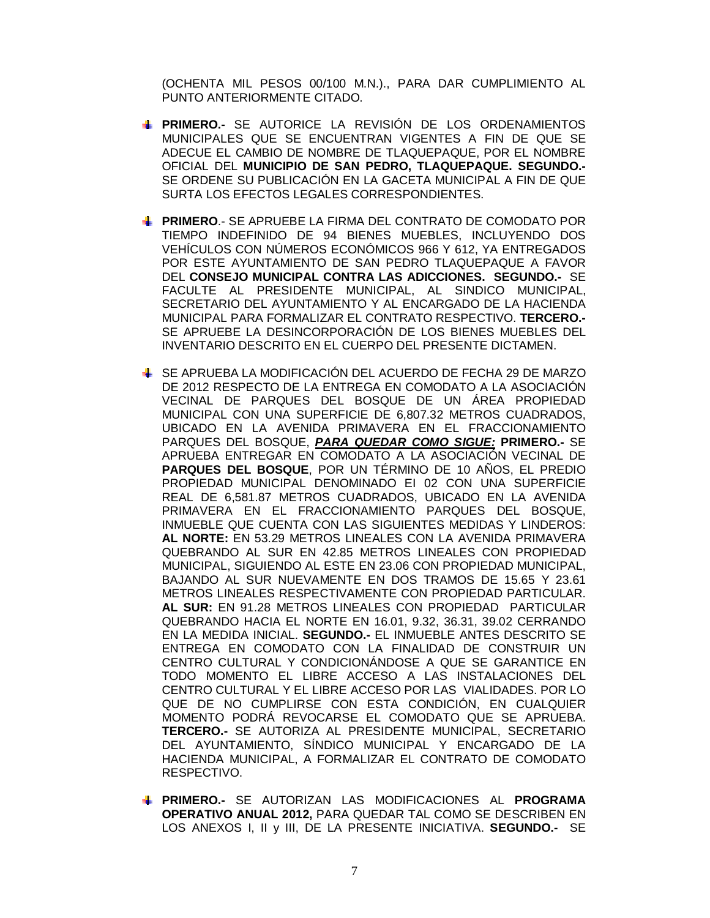(OCHENTA MIL PESOS 00/100 M.N.)., PARA DAR CUMPLIMIENTO AL PUNTO ANTERIORMENTE CITADO.

- **PRIMERO.-** SE AUTORICE LA REVISIÓN DE LOS ORDENAMIENTOS MUNICIPALES QUE SE ENCUENTRAN VIGENTES A FIN DE QUE SE ADECUE EL CAMBIO DE NOMBRE DE TLAQUEPAQUE, POR EL NOMBRE OFICIAL DEL **MUNICIPIO DE SAN PEDRO, TLAQUEPAQUE. SEGUNDO.-** SE ORDENE SU PUBLICACIÓN EN LA GACETA MUNICIPAL A FIN DE QUE SURTA LOS EFECTOS LEGALES CORRESPONDIENTES.
- **PRIMERO**.- SE APRUEBE LA FIRMA DEL CONTRATO DE COMODATO POR TIEMPO INDEFINIDO DE 94 BIENES MUEBLES, INCLUYENDO DOS VEHÍCULOS CON NÚMEROS ECONÓMICOS 966 Y 612, YA ENTREGADOS POR ESTE AYUNTAMIENTO DE SAN PEDRO TLAQUEPAQUE A FAVOR DEL **CONSEJO MUNICIPAL CONTRA LAS ADICCIONES. SEGUNDO.-** SE FACULTE AL PRESIDENTE MUNICIPAL, AL SINDICO MUNICIPAL, SECRETARIO DEL AYUNTAMIENTO Y AL ENCARGADO DE LA HACIENDA MUNICIPAL PARA FORMALIZAR EL CONTRATO RESPECTIVO. **TERCERO.-** SE APRUEBE LA DESINCORPORACIÓN DE LOS BIENES MUEBLES DEL INVENTARIO DESCRITO EN EL CUERPO DEL PRESENTE DICTAMEN.
- SE APRUEBA LA MODIFICACIÓN DEL ACUERDO DE FECHA 29 DE MARZO DE 2012 RESPECTO DE LA ENTREGA EN COMODATO A LA ASOCIACIÓN VECINAL DE PARQUES DEL BOSQUE DE UN ÁREA PROPIEDAD MUNICIPAL CON UNA SUPERFICIE DE 6,807.32 METROS CUADRADOS, UBICADO EN LA AVENIDA PRIMAVERA EN EL FRACCIONAMIENTO PARQUES DEL BOSQUE, *PARA QUEDAR COMO SIGUE:* **PRIMERO.-** SE APRUEBA ENTREGAR EN COMODATO A LA ASOCIACIÓN VECINAL DE **PARQUES DEL BOSQUE**, POR UN TÉRMINO DE 10 AÑOS, EL PREDIO PROPIEDAD MUNICIPAL DENOMINADO EI 02 CON UNA SUPERFICIE REAL DE 6,581.87 METROS CUADRADOS, UBICADO EN LA AVENIDA PRIMAVERA EN EL FRACCIONAMIENTO PARQUES DEL BOSQUE, INMUEBLE QUE CUENTA CON LAS SIGUIENTES MEDIDAS Y LINDEROS: **AL NORTE:** EN 53.29 METROS LINEALES CON LA AVENIDA PRIMAVERA QUEBRANDO AL SUR EN 42.85 METROS LINEALES CON PROPIEDAD MUNICIPAL, SIGUIENDO AL ESTE EN 23.06 CON PROPIEDAD MUNICIPAL, BAJANDO AL SUR NUEVAMENTE EN DOS TRAMOS DE 15.65 Y 23.61 METROS LINEALES RESPECTIVAMENTE CON PROPIEDAD PARTICULAR. **AL SUR:** EN 91.28 METROS LINEALES CON PROPIEDAD PARTICULAR QUEBRANDO HACIA EL NORTE EN 16.01, 9.32, 36.31, 39.02 CERRANDO EN LA MEDIDA INICIAL. **SEGUNDO.-** EL INMUEBLE ANTES DESCRITO SE ENTREGA EN COMODATO CON LA FINALIDAD DE CONSTRUIR UN CENTRO CULTURAL Y CONDICIONÁNDOSE A QUE SE GARANTICE EN TODO MOMENTO EL LIBRE ACCESO A LAS INSTALACIONES DEL CENTRO CULTURAL Y EL LIBRE ACCESO POR LAS VIALIDADES. POR LO QUE DE NO CUMPLIRSE CON ESTA CONDICIÓN, EN CUALQUIER MOMENTO PODRÁ REVOCARSE EL COMODATO QUE SE APRUEBA. **TERCERO.-** SE AUTORIZA AL PRESIDENTE MUNICIPAL, SECRETARIO DEL AYUNTAMIENTO, SÍNDICO MUNICIPAL Y ENCARGADO DE LA HACIENDA MUNICIPAL, A FORMALIZAR EL CONTRATO DE COMODATO RESPECTIVO.
- **PRIMERO.-** SE AUTORIZAN LAS MODIFICACIONES AL **PROGRAMA OPERATIVO ANUAL 2012,** PARA QUEDAR TAL COMO SE DESCRIBEN EN LOS ANEXOS I, II y III, DE LA PRESENTE INICIATIVA. **SEGUNDO.-** SE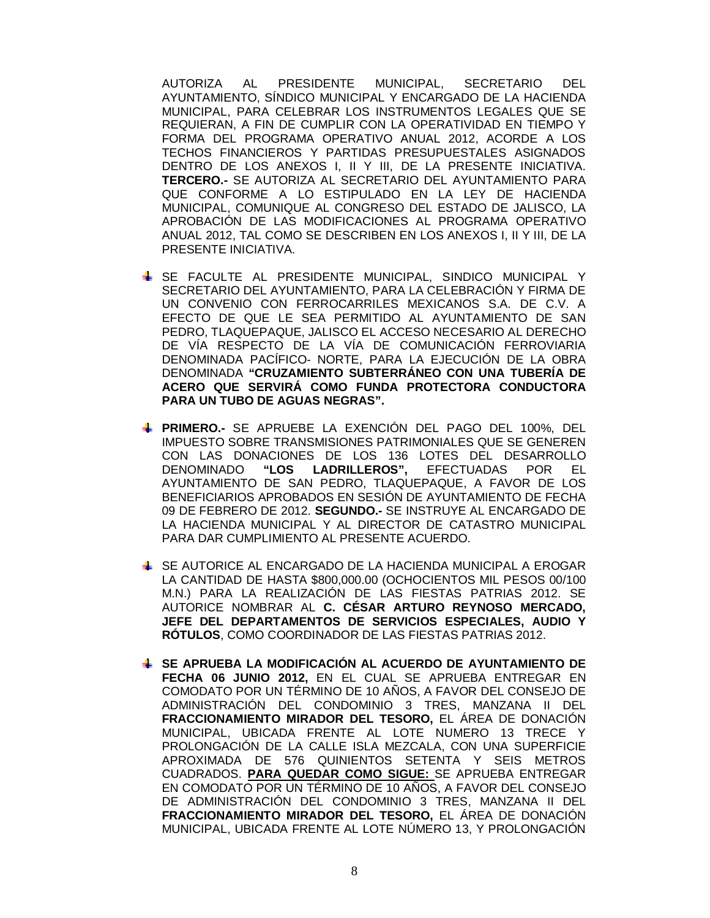AUTORIZA AL PRESIDENTE MUNICIPAL, SECRETARIO DEL AYUNTAMIENTO, SÍNDICO MUNICIPAL Y ENCARGADO DE LA HACIENDA MUNICIPAL, PARA CELEBRAR LOS INSTRUMENTOS LEGALES QUE SE REQUIERAN, A FIN DE CUMPLIR CON LA OPERATIVIDAD EN TIEMPO Y FORMA DEL PROGRAMA OPERATIVO ANUAL 2012, ACORDE A LOS TECHOS FINANCIEROS Y PARTIDAS PRESUPUESTALES ASIGNADOS DENTRO DE LOS ANEXOS I, II Y III, DE LA PRESENTE INICIATIVA. **TERCERO.-** SE AUTORIZA AL SECRETARIO DEL AYUNTAMIENTO PARA QUE CONFORME A LO ESTIPULADO EN LA LEY DE HACIENDA MUNICIPAL, COMUNIQUE AL CONGRESO DEL ESTADO DE JALISCO, LA APROBACIÓN DE LAS MODIFICACIONES AL PROGRAMA OPERATIVO ANUAL 2012, TAL COMO SE DESCRIBEN EN LOS ANEXOS I, II Y III, DE LA PRESENTE INICIATIVA.

- SE FACULTE AL PRESIDENTE MUNICIPAL, SINDICO MUNICIPAL Y SECRETARIO DEL AYUNTAMIENTO, PARA LA CELEBRACIÓN Y FIRMA DE UN CONVENIO CON FERROCARRILES MEXICANOS S.A. DE C.V. A EFECTO DE QUE LE SEA PERMITIDO AL AYUNTAMIENTO DE SAN PEDRO, TLAQUEPAQUE, JALISCO EL ACCESO NECESARIO AL DERECHO DE VÍA RESPECTO DE LA VÍA DE COMUNICACIÓN FERROVIARIA DENOMINADA PACÍFICO- NORTE, PARA LA EJECUCIÓN DE LA OBRA DENOMINADA **"CRUZAMIENTO SUBTERRÁNEO CON UNA TUBERÍA DE ACERO QUE SERVIRÁ COMO FUNDA PROTECTORA CONDUCTORA PARA UN TUBO DE AGUAS NEGRAS".**
- **PRIMERO.-** SE APRUEBE LA EXENCIÓN DEL PAGO DEL 100%, DEL IMPUESTO SOBRE TRANSMISIONES PATRIMONIALES QUE SE GENEREN CON LAS DONACIONES DE LOS 136 LOTES DEL DESARROLLO DENOMINADO **"LOS LADRILLEROS",** EFECTUADAS POR EL AYUNTAMIENTO DE SAN PEDRO, TLAQUEPAQUE, A FAVOR DE LOS BENEFICIARIOS APROBADOS EN SESIÓN DE AYUNTAMIENTO DE FECHA 09 DE FEBRERO DE 2012. **SEGUNDO.-** SE INSTRUYE AL ENCARGADO DE LA HACIENDA MUNICIPAL Y AL DIRECTOR DE CATASTRO MUNICIPAL PARA DAR CUMPLIMIENTO AL PRESENTE ACUERDO.
- SE AUTORICE AL ENCARGADO DE LA HACIENDA MUNICIPAL A EROGAR LA CANTIDAD DE HASTA \$800,000.00 (OCHOCIENTOS MIL PESOS 00/100 M.N.) PARA LA REALIZACIÓN DE LAS FIESTAS PATRIAS 2012. SE AUTORICE NOMBRAR AL **C. CÉSAR ARTURO REYNOSO MERCADO, JEFE DEL DEPARTAMENTOS DE SERVICIOS ESPECIALES, AUDIO Y RÓTULOS**, COMO COORDINADOR DE LAS FIESTAS PATRIAS 2012.
- **SE APRUEBA LA MODIFICACIÓN AL ACUERDO DE AYUNTAMIENTO DE FECHA 06 JUNIO 2012,** EN EL CUAL SE APRUEBA ENTREGAR EN COMODATO POR UN TÉRMINO DE 10 AÑOS, A FAVOR DEL CONSEJO DE ADMINISTRACIÓN DEL CONDOMINIO 3 TRES, MANZANA II DEL **FRACCIONAMIENTO MIRADOR DEL TESORO,** EL ÁREA DE DONACIÓN MUNICIPAL, UBICADA FRENTE AL LOTE NUMERO 13 TRECE Y PROLONGACIÓN DE LA CALLE ISLA MEZCALA, CON UNA SUPERFICIE APROXIMADA DE 576 QUINIENTOS SETENTA Y SEIS METROS CUADRADOS. **PARA QUEDAR COMO SIGUE:** SE APRUEBA ENTREGAR EN COMODATO POR UN TÉRMINO DE 10 AÑOS, A FAVOR DEL CONSEJO DE ADMINISTRACIÓN DEL CONDOMINIO 3 TRES, MANZANA II DEL **FRACCIONAMIENTO MIRADOR DEL TESORO,** EL ÁREA DE DONACIÓN MUNICIPAL, UBICADA FRENTE AL LOTE NÚMERO 13, Y PROLONGACIÓN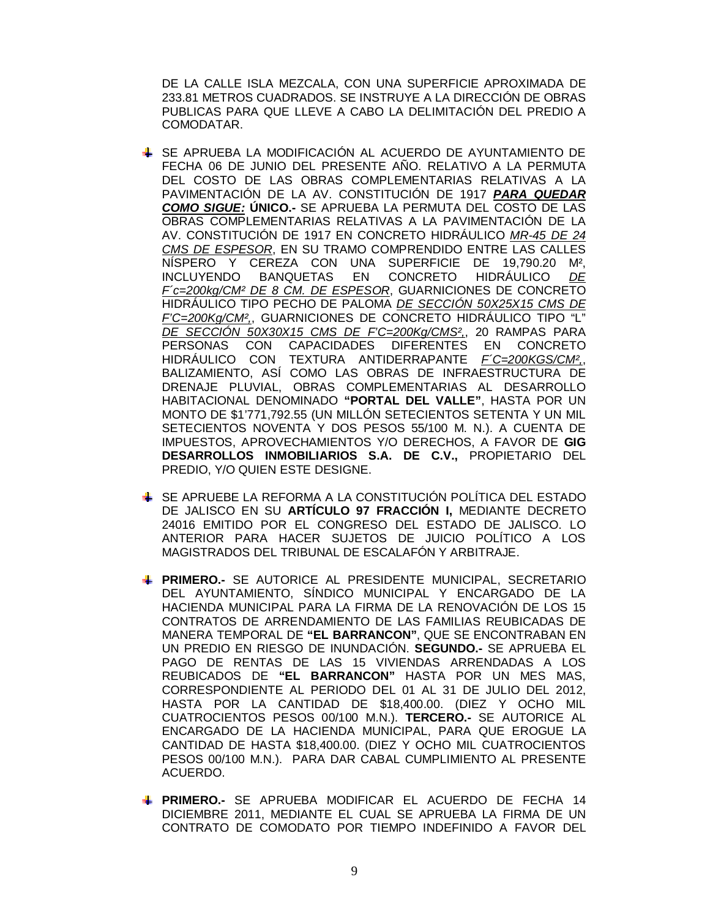DE LA CALLE ISLA MEZCALA, CON UNA SUPERFICIE APROXIMADA DE 233.81 METROS CUADRADOS. SE INSTRUYE A LA DIRECCIÓN DE OBRAS PUBLICAS PARA QUE LLEVE A CABO LA DELIMITACIÓN DEL PREDIO A COMODATAR.

- SE APRUEBA LA MODIFICACIÓN AL ACUERDO DE AYUNTAMIENTO DE FECHA 06 DE JUNIO DEL PRESENTE AÑO. RELATIVO A LA PERMUTA DEL COSTO DE LAS OBRAS COMPLEMENTARIAS RELATIVAS A LA PAVIMENTACIÓN DE LA AV. CONSTITUCIÓN DE 1917 *PARA QUEDAR COMO SIGUE:* **ÚNICO.-** SE APRUEBA LA PERMUTA DEL COSTO DE LAS OBRAS COMPLEMENTARIAS RELATIVAS A LA PAVIMENTACIÓN DE LA AV. CONSTITUCIÓN DE 1917 EN CONCRETO HIDRÁULICO *MR-45 DE 24 CMS DE ESPESOR*, EN SU TRAMO COMPRENDIDO ENTRE LAS CALLES NÍSPERO Y CEREZA CON UNA SUPERFICIE DE 19,790.20 M², INCLUYENDO BANQUETAS EN CONCRETO HIDRÁULICO *DE F´c=200kg/CM² DE 8 CM. DE ESPESOR*, GUARNICIONES DE CONCRETO HIDRÁULICO TIPO PECHO DE PALOMA *DE SECCIÓN 50X25X15 CMS DE F'C=200Kg/CM²,*, GUARNICIONES DE CONCRETO HIDRÁULICO TIPO "L" *DE SECCIÓN 50X30X15 CMS DE F'C=200Kg/CMS²,*, 20 RAMPAS PARA PERSONAS CON CAPACIDADES DIFERENTES EN CONCRETO HIDRÁULICO CON TEXTURA ANTIDERRAPANTE *F´C=200KGS/CM²,*, BALIZAMIENTO, ASÍ COMO LAS OBRAS DE INFRAESTRUCTURA DE DRENAJE PLUVIAL, OBRAS COMPLEMENTARIAS AL DESARROLLO HABITACIONAL DENOMINADO **"PORTAL DEL VALLE"**, HASTA POR UN MONTO DE \$1'771,792.55 (UN MILLÓN SETECIENTOS SETENTA Y UN MIL SETECIENTOS NOVENTA Y DOS PESOS 55/100 M. N.). A CUENTA DE IMPUESTOS, APROVECHAMIENTOS Y/O DERECHOS, A FAVOR DE **GIG DESARROLLOS INMOBILIARIOS S.A. DE C.V.,** PROPIETARIO DEL PREDIO, Y/O QUIEN ESTE DESIGNE.
- SE APRUEBE LA REFORMA A LA CONSTITUCIÓN POLÍTICA DEL ESTADO DE JALISCO EN SU **ARTÍCULO 97 FRACCIÓN I,** MEDIANTE DECRETO 24016 EMITIDO POR EL CONGRESO DEL ESTADO DE JALISCO. LO ANTERIOR PARA HACER SUJETOS DE JUICIO POLÍTICO A LOS MAGISTRADOS DEL TRIBUNAL DE ESCALAFÓN Y ARBITRAJE.
- **PRIMERO.-** SE AUTORICE AL PRESIDENTE MUNICIPAL, SECRETARIO DEL AYUNTAMIENTO, SÍNDICO MUNICIPAL Y ENCARGADO DE LA HACIENDA MUNICIPAL PARA LA FIRMA DE LA RENOVACIÓN DE LOS 15 CONTRATOS DE ARRENDAMIENTO DE LAS FAMILIAS REUBICADAS DE MANERA TEMPORAL DE **"EL BARRANCON"**, QUE SE ENCONTRABAN EN UN PREDIO EN RIESGO DE INUNDACIÓN. **SEGUNDO.-** SE APRUEBA EL PAGO DE RENTAS DE LAS 15 VIVIENDAS ARRENDADAS A LOS REUBICADOS DE **"EL BARRANCON"** HASTA POR UN MES MAS, CORRESPONDIENTE AL PERIODO DEL 01 AL 31 DE JULIO DEL 2012, HASTA POR LA CANTIDAD DE \$18,400.00. (DIEZ Y OCHO MIL CUATROCIENTOS PESOS 00/100 M.N.). **TERCERO.-** SE AUTORICE AL ENCARGADO DE LA HACIENDA MUNICIPAL, PARA QUE EROGUE LA CANTIDAD DE HASTA \$18,400.00. (DIEZ Y OCHO MIL CUATROCIENTOS PESOS 00/100 M.N.). PARA DAR CABAL CUMPLIMIENTO AL PRESENTE ACUERDO.
- **PRIMERO.-** SE APRUEBA MODIFICAR EL ACUERDO DE FECHA 14 DICIEMBRE 2011, MEDIANTE EL CUAL SE APRUEBA LA FIRMA DE UN CONTRATO DE COMODATO POR TIEMPO INDEFINIDO A FAVOR DEL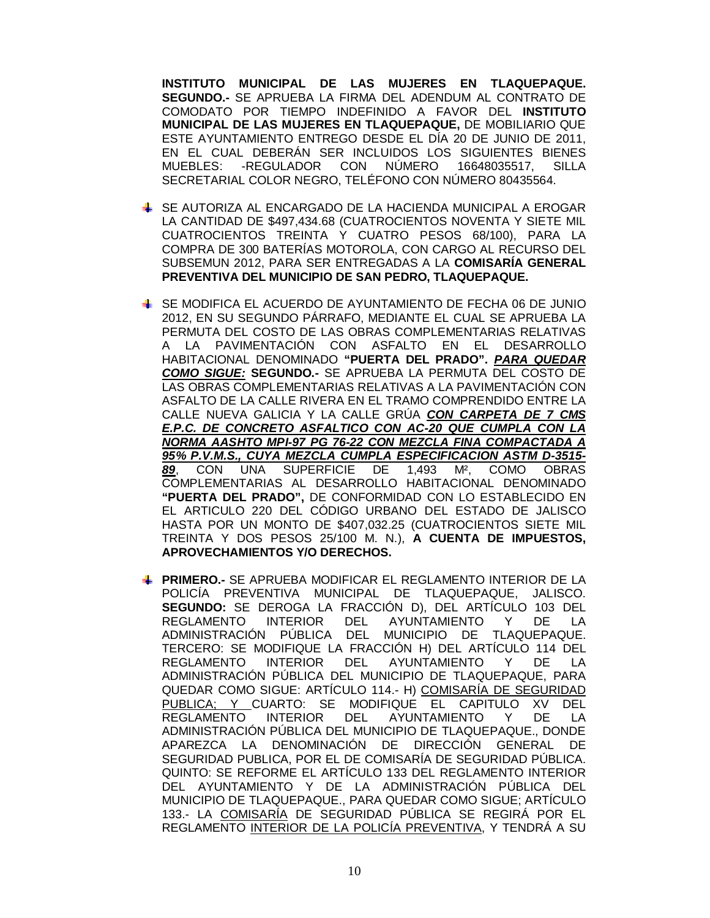**INSTITUTO MUNICIPAL DE LAS MUJERES EN TLAQUEPAQUE. SEGUNDO.-** SE APRUEBA LA FIRMA DEL ADENDUM AL CONTRATO DE COMODATO POR TIEMPO INDEFINIDO A FAVOR DEL **INSTITUTO MUNICIPAL DE LAS MUJERES EN TLAQUEPAQUE,** DE MOBILIARIO QUE ESTE AYUNTAMIENTO ENTREGO DESDE EL DÍA 20 DE JUNIO DE 2011, EN EL CUAL DEBERÁN SER INCLUIDOS LOS SIGUIENTES BIENES MUEBLES: -REGULADOR CON NÚMERO 16648035517, SILLA SECRETARIAL COLOR NEGRO, TELÉFONO CON NÚMERO 80435564.

- SE AUTORIZA AL ENCARGADO DE LA HACIENDA MUNICIPAL A EROGAR LA CANTIDAD DE \$497,434.68 (CUATROCIENTOS NOVENTA Y SIETE MIL CUATROCIENTOS TREINTA Y CUATRO PESOS 68/100), PARA LA COMPRA DE 300 BATERÍAS MOTOROLA, CON CARGO AL RECURSO DEL SUBSEMUN 2012, PARA SER ENTREGADAS A LA **COMISARÍA GENERAL PREVENTIVA DEL MUNICIPIO DE SAN PEDRO, TLAQUEPAQUE.**
- SE MODIFICA EL ACUERDO DE AYUNTAMIENTO DE FECHA 06 DE JUNIO 2012, EN SU SEGUNDO PÁRRAFO, MEDIANTE EL CUAL SE APRUEBA LA PERMUTA DEL COSTO DE LAS OBRAS COMPLEMENTARIAS RELATIVAS A LA PAVIMENTACIÓN CON ASFALTO EN EL DESARROLLO HABITACIONAL DENOMINADO **"PUERTA DEL PRADO".** *PARA QUEDAR COMO SIGUE:* **SEGUNDO.-** SE APRUEBA LA PERMUTA DEL COSTO DE LAS OBRAS COMPLEMENTARIAS RELATIVAS A LA PAVIMENTACIÓN CON ASFALTO DE LA CALLE RIVERA EN EL TRAMO COMPRENDIDO ENTRE LA CALLE NUEVA GALICIA Y LA CALLE GRÚA *CON CARPETA DE 7 CMS E.P.C. DE CONCRETO ASFALTICO CON AC-20 QUE CUMPLA CON LA NORMA AASHTO MPI-97 PG 76-22 CON MEZCLA FINA COMPACTADA A 95% P.V.M.S., CUYA MEZCLA CUMPLA ESPECIFICACION ASTM D-3515- 89*, CON UNA SUPERFICIE DE 1,493 M², COMO OBRAS COMPLEMENTARIAS AL DESARROLLO HABITACIONAL DENOMINADO **"PUERTA DEL PRADO",** DE CONFORMIDAD CON LO ESTABLECIDO EN EL ARTICULO 220 DEL CÓDIGO URBANO DEL ESTADO DE JALISCO HASTA POR UN MONTO DE \$407,032.25 (CUATROCIENTOS SIETE MIL TREINTA Y DOS PESOS 25/100 M. N.), **A CUENTA DE IMPUESTOS, APROVECHAMIENTOS Y/O DERECHOS.**
- **PRIMERO.-** SE APRUEBA MODIFICAR EL REGLAMENTO INTERIOR DE LA POLICÍA PREVENTIVA MUNICIPAL DE TLAQUEPAQUE, JALISCO. **SEGUNDO:** SE DEROGA LA FRACCIÓN D), DEL ARTÍCULO 103 DEL REGLAMENTO INTERIOR DEL AYUNTAMIENTO Y DE LA ADMINISTRACIÓN PÚBLICA DEL MUNICIPIO DE TLAQUEPAQUE. TERCERO: SE MODIFIQUE LA FRACCIÓN H) DEL ARTÍCULO 114 DEL REGLAMENTO INTERIOR DEL AYUNTAMIENTO Y DE LA ADMINISTRACIÓN PÚBLICA DEL MUNICIPIO DE TLAQUEPAQUE, PARA QUEDAR COMO SIGUE: ARTÍCULO 114.- H) COMISARÍA DE SEGURIDAD PUBLICA; Y CUARTO: SE MODIFIQUE EL CAPITULO XV DEL REGLAMENTO INTERIOR DEL AYUNTAMIENTO Y DE LA ADMINISTRACIÓN PÚBLICA DEL MUNICIPIO DE TLAQUEPAQUE., DONDE APAREZCA LA DENOMINACIÓN DE DIRECCIÓN GENERAL DE SEGURIDAD PUBLICA, POR EL DE COMISARÍA DE SEGURIDAD PÚBLICA. QUINTO: SE REFORME EL ARTÍCULO 133 DEL REGLAMENTO INTERIOR DEL AYUNTAMIENTO Y DE LA ADMINISTRACIÓN PÚBLICA DEL MUNICIPIO DE TLAQUEPAQUE., PARA QUEDAR COMO SIGUE; ARTÍCULO 133.- LA COMISARÍA DE SEGURIDAD PÚBLICA SE REGIRÁ POR EL REGLAMENTO INTERIOR DE LA POLICÍA PREVENTIVA, Y TENDRÁ A SU